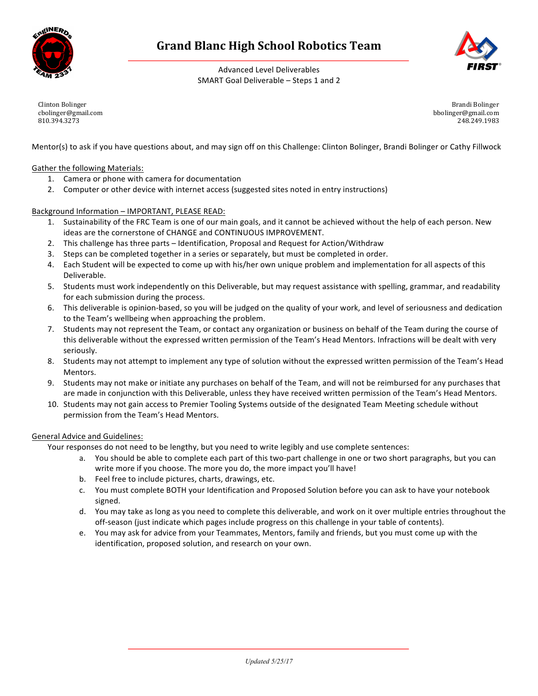

# **Grand Blanc High School Robotics Team**

Advanced Level Deliverables SMART Goal Deliverable – Steps 1 and 2

Clinton Bolinger cbolinger@gmail.com 810.394.3273

Brandi Bolinger bbolinger@gmail.com 248.249.1983

Mentor(s) to ask if you have questions about, and may sign off on this Challenge: Clinton Bolinger, Brandi Bolinger or Cathy Fillwock

## Gather the following Materials:

- 1. Camera or phone with camera for documentation
- 2. Computer or other device with internet access (suggested sites noted in entry instructions)

### Background Information - IMPORTANT, PLEASE READ:

- 1. Sustainability of the FRC Team is one of our main goals, and it cannot be achieved without the help of each person. New ideas are the cornerstone of CHANGE and CONTINUOUS IMPROVEMENT.
- 2. This challenge has three parts Identification, Proposal and Request for Action/Withdraw
- 3. Steps can be completed together in a series or separately, but must be completed in order.
- 4. Each Student will be expected to come up with his/her own unique problem and implementation for all aspects of this Deliverable.
- 5. Students must work independently on this Deliverable, but may request assistance with spelling, grammar, and readability for each submission during the process.
- 6. This deliverable is opinion-based, so you will be judged on the quality of your work, and level of seriousness and dedication to the Team's wellbeing when approaching the problem.
- 7. Students may not represent the Team, or contact any organization or business on behalf of the Team during the course of this deliverable without the expressed written permission of the Team's Head Mentors. Infractions will be dealt with very seriously.
- 8. Students may not attempt to implement any type of solution without the expressed written permission of the Team's Head Mentors.
- 9. Students may not make or initiate any purchases on behalf of the Team, and will not be reimbursed for any purchases that are made in conjunction with this Deliverable, unless they have received written permission of the Team's Head Mentors.
- 10. Students may not gain access to Premier Tooling Systems outside of the designated Team Meeting schedule without permission from the Team's Head Mentors.

### General Advice and Guidelines:

Your responses do not need to be lengthy, but you need to write legibly and use complete sentences:

- a. You should be able to complete each part of this two-part challenge in one or two short paragraphs, but you can write more if you choose. The more you do, the more impact you'll have!
- b. Feel free to include pictures, charts, drawings, etc.
- c. You must complete BOTH your Identification and Proposed Solution before you can ask to have your notebook signed.
- d. You may take as long as you need to complete this deliverable, and work on it over multiple entries throughout the off-season (just indicate which pages include progress on this challenge in your table of contents).
- e. You may ask for advice from your Teammates, Mentors, family and friends, but you must come up with the identification, proposed solution, and research on your own.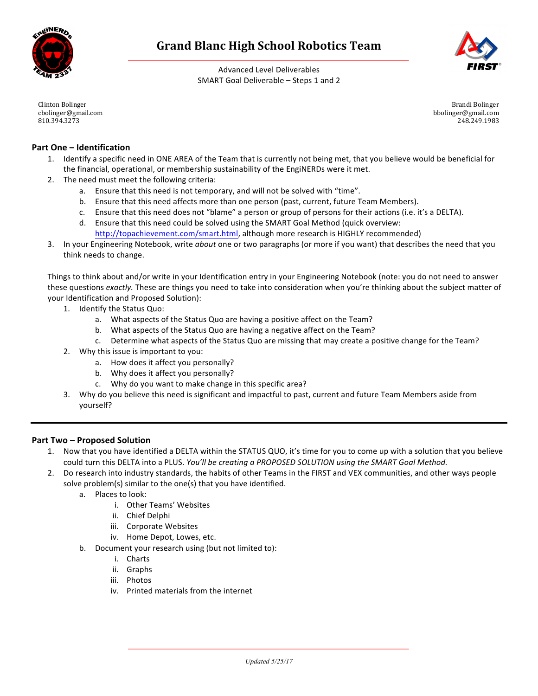



Advanced Level Deliverables SMART Goal Deliverable – Steps 1 and 2

Clinton Bolinger cbolinger@gmail.com 810.394.3273

Brandi Bolinger bbolinger@gmail.com 248.249.1983

# **Part One – Identification**

- 1. Identify a specific need in ONE AREA of the Team that is currently not being met, that you believe would be beneficial for the financial, operational, or membership sustainability of the EngiNERDs were it met.
- 2. The need must meet the following criteria:
	- a. Ensure that this need is not temporary, and will not be solved with "time".
	- b. Ensure that this need affects more than one person (past, current, future Team Members).
	- c. Ensure that this need does not "blame" a person or group of persons for their actions (i.e. it's a DELTA).
	- d. Ensure that this need could be solved using the SMART Goal Method (quick overview:
	- http://topachievement.com/smart.html, although more research is HIGHLY recommended)
- 3. In your Engineering Notebook, write *about* one or two paragraphs (or more if you want) that describes the need that you think needs to change.

Things to think about and/or write in your Identification entry in your Engineering Notebook (note: you do not need to answer these questions *exactly*. These are things you need to take into consideration when you're thinking about the subject matter of your Identification and Proposed Solution):

- 1. Identify the Status Quo:
	- a. What aspects of the Status Quo are having a positive affect on the Team?
	- b. What aspects of the Status Quo are having a negative affect on the Team?
	- c. Determine what aspects of the Status Quo are missing that may create a positive change for the Team?
- 2. Why this issue is important to you:
	- a. How does it affect you personally?
	- b. Why does it affect you personally?
	- c. Why do you want to make change in this specific area?
- 3. Why do you believe this need is significant and impactful to past, current and future Team Members aside from yourself?

## **Part Two** – Proposed Solution

- 1. Now that you have identified a DELTA within the STATUS QUO, it's time for you to come up with a solution that you believe could turn this DELTA into a PLUS. *You'll be creating a PROPOSED SOLUTION using the SMART Goal Method.*
- 2. Do research into industry standards, the habits of other Teams in the FIRST and VEX communities, and other ways people solve problem(s) similar to the one(s) that you have identified.
	- a Places to look:
		- i. Other Teams' Websites
		- ii. Chief Delphi
		- iii. Corporate Websites
		- iv. Home Depot, Lowes, etc.
	- b. Document your research using (but not limited to):
		- i. Charts
		- ii. Graphs
		- iii. Photos
		- iv. Printed materials from the internet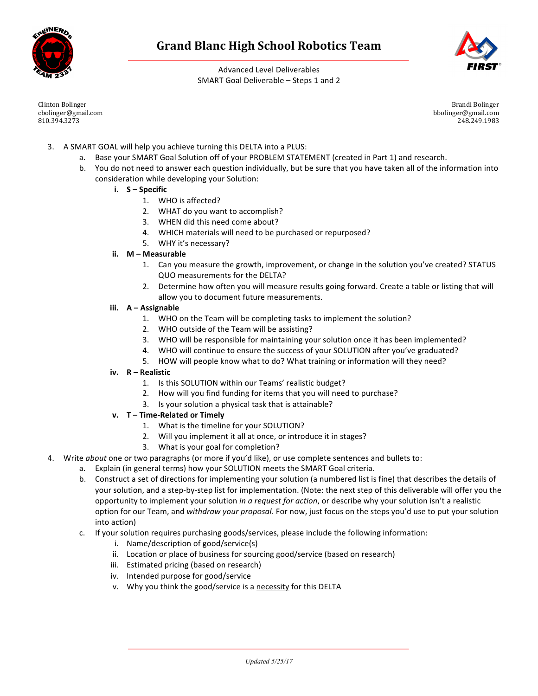



Advanced Level Deliverables SMART Goal Deliverable – Steps 1 and 2

Clinton Bolinger cbolinger@gmail.com 810.394.3273

Brandi Bolinger bbolinger@gmail.com 248.249.1983

- 3. A SMART GOAL will help you achieve turning this DELTA into a PLUS:
	- a. Base your SMART Goal Solution off of your PROBLEM STATEMENT (created in Part 1) and research.
	- b. You do not need to answer each question individually, but be sure that you have taken all of the information into consideration while developing your Solution:
		- **i. S – Specific**
			- 1. WHO is affected?
			- 2. WHAT do you want to accomplish?
			- 3. WHEN did this need come about?
			- 4. WHICH materials will need to be purchased or repurposed?
			- 5. WHY it's necessary?
		- **ii. M – Measurable**
			- 1. Can you measure the growth, improvement, or change in the solution you've created? STATUS QUO measurements for the DELTA?
			- 2. Determine how often you will measure results going forward. Create a table or listing that will allow you to document future measurements.
		- **iii.**  $A A$ ssignable
			- 1. WHO on the Team will be completing tasks to implement the solution?
			- 2. WHO outside of the Team will be assisting?
			- 3. WHO will be responsible for maintaining your solution once it has been implemented?
			- 4. WHO will continue to ensure the success of your SOLUTION after you've graduated?
			- 5. HOW will people know what to do? What training or information will they need?
		- **iv. R – Realistic**
			- 1. Is this SOLUTION within our Teams' realistic budget?
			- 2. How will you find funding for items that you will need to purchase?
			- 3. Is your solution a physical task that is attainable?
		- **v. T – Time-Related or Timely**
			- 1. What is the timeline for your SOLUTION?
			- 2. Will you implement it all at once, or introduce it in stages?
				- 3. What is your goal for completion?
- 4. Write *about* one or two paragraphs (or more if you'd like), or use complete sentences and bullets to:
	- a. Explain (in general terms) how your SOLUTION meets the SMART Goal criteria.
	- b. Construct a set of directions for implementing your solution (a numbered list is fine) that describes the details of your solution, and a step-by-step list for implementation. (Note: the next step of this deliverable will offer you the opportunity to implement your solution *in a request for action*, or describe why your solution isn't a realistic option for our Team, and withdraw your proposal. For now, just focus on the steps you'd use to put your solution into action)
	- c. If your solution requires purchasing goods/services, please include the following information:
		- i. Name/description of good/service(s)
		- ii. Location or place of business for sourcing good/service (based on research)
		- iii. Estimated pricing (based on research)
		- iv. Intended purpose for good/service
		- v. Why you think the good/service is a necessity for this DELTA